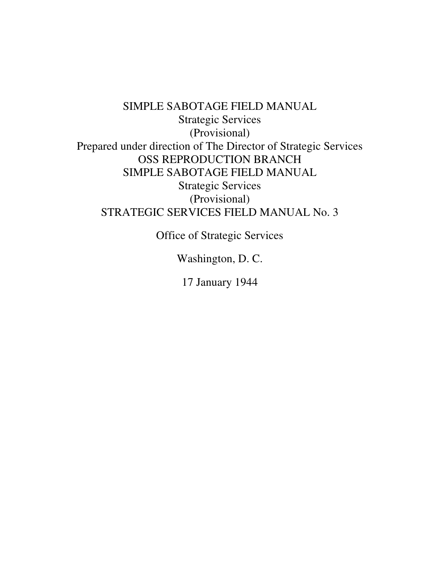SIMPLE SABOTAGE FIELD MANUAL Strategic Services (Provisional) Prepared under direction of The Director of Strategic Services OSS REPRODUCTION BRANCH SIMPLE SABOTAGE FIELD MANUAL Strategic Services (Provisional) STRATEGIC SERVICES FIELD MANUAL No. 3

Office of Strategic Services

Washington, D. C.

17 January 1944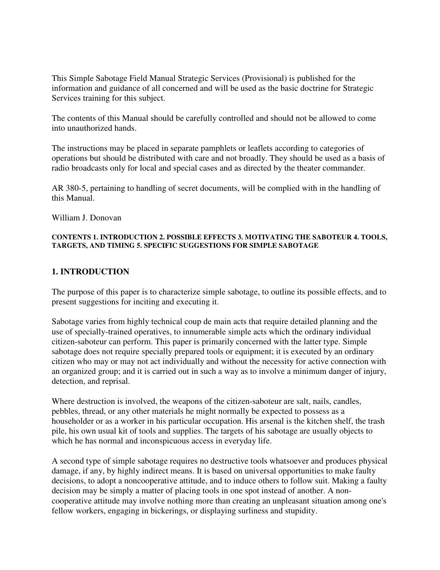This Simple Sabotage Field Manual Strategic Services (Provisional) is published for the information and guidance of all concerned and will be used as the basic doctrine for Strategic Services training for this subject.

The contents of this Manual should be carefully controlled and should not be allowed to come into unauthorized hands.

The instructions may be placed in separate pamphlets or leaflets according to categories of operations but should be distributed with care and not broadly. They should be used as a basis of radio broadcasts only for local and special cases and as directed by the theater commander.

AR 380-5, pertaining to handling of secret documents, will be complied with in the handling of this Manual.

William J. Donovan

#### **CONTENTS 1. INTRODUCTION 2. POSSIBLE EFFECTS 3. MOTIVATING THE SABOTEUR 4. TOOLS, TARGETS, AND TIMING 5. SPECIFIC SUGGESTIONS FOR SIMPLE SABOTAGE**

## **1. INTRODUCTION**

The purpose of this paper is to characterize simple sabotage, to outline its possible effects, and to present suggestions for inciting and executing it.

Sabotage varies from highly technical coup de main acts that require detailed planning and the use of specially-trained operatives, to innumerable simple acts which the ordinary individual citizen-saboteur can perform. This paper is primarily concerned with the latter type. Simple sabotage does not require specially prepared tools or equipment; it is executed by an ordinary citizen who may or may not act individually and without the necessity for active connection with an organized group; and it is carried out in such a way as to involve a minimum danger of injury, detection, and reprisal.

Where destruction is involved, the weapons of the citizen-saboteur are salt, nails, candles, pebbles, thread, or any other materials he might normally be expected to possess as a householder or as a worker in his particular occupation. His arsenal is the kitchen shelf, the trash pile, his own usual kit of tools and supplies. The targets of his sabotage are usually objects to which he has normal and inconspicuous access in everyday life.

A second type of simple sabotage requires no destructive tools whatsoever and produces physical damage, if any, by highly indirect means. It is based on universal opportunities to make faulty decisions, to adopt a noncooperative attitude, and to induce others to follow suit. Making a faulty decision may be simply a matter of placing tools in one spot instead of another. A noncooperative attitude may involve nothing more than creating an unpleasant situation among one's fellow workers, engaging in bickerings, or displaying surliness and stupidity.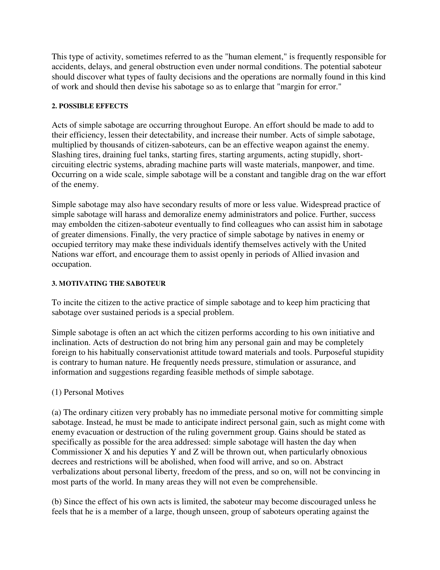This type of activity, sometimes referred to as the "human element," is frequently responsible for accidents, delays, and general obstruction even under normal conditions. The potential saboteur should discover what types of faulty decisions and the operations are normally found in this kind of work and should then devise his sabotage so as to enlarge that "margin for error."

#### **2. POSSIBLE EFFECTS**

Acts of simple sabotage are occurring throughout Europe. An effort should be made to add to their efficiency, lessen their detectability, and increase their number. Acts of simple sabotage, multiplied by thousands of citizen-saboteurs, can be an effective weapon against the enemy. Slashing tires, draining fuel tanks, starting fires, starting arguments, acting stupidly, shortcircuiting electric systems, abrading machine parts will waste materials, manpower, and time. Occurring on a wide scale, simple sabotage will be a constant and tangible drag on the war effort of the enemy.

Simple sabotage may also have secondary results of more or less value. Widespread practice of simple sabotage will harass and demoralize enemy administrators and police. Further, success may embolden the citizen-saboteur eventually to find colleagues who can assist him in sabotage of greater dimensions. Finally, the very practice of simple sabotage by natives in enemy or occupied territory may make these individuals identify themselves actively with the United Nations war effort, and encourage them to assist openly in periods of Allied invasion and occupation.

## **3. MOTIVATING THE SABOTEUR**

To incite the citizen to the active practice of simple sabotage and to keep him practicing that sabotage over sustained periods is a special problem.

Simple sabotage is often an act which the citizen performs according to his own initiative and inclination. Acts of destruction do not bring him any personal gain and may be completely foreign to his habitually conservationist attitude toward materials and tools. Purposeful stupidity is contrary to human nature. He frequently needs pressure, stimulation or assurance, and information and suggestions regarding feasible methods of simple sabotage.

# (1) Personal Motives

(a) The ordinary citizen very probably has no immediate personal motive for committing simple sabotage. Instead, he must be made to anticipate indirect personal gain, such as might come with enemy evacuation or destruction of the ruling government group. Gains should be stated as specifically as possible for the area addressed: simple sabotage will hasten the day when Commissioner X and his deputies Y and Z will be thrown out, when particularly obnoxious decrees and restrictions will be abolished, when food will arrive, and so on. Abstract verbalizations about personal liberty, freedom of the press, and so on, will not be convincing in most parts of the world. In many areas they will not even be comprehensible.

(b) Since the effect of his own acts is limited, the saboteur may become discouraged unless he feels that he is a member of a large, though unseen, group of saboteurs operating against the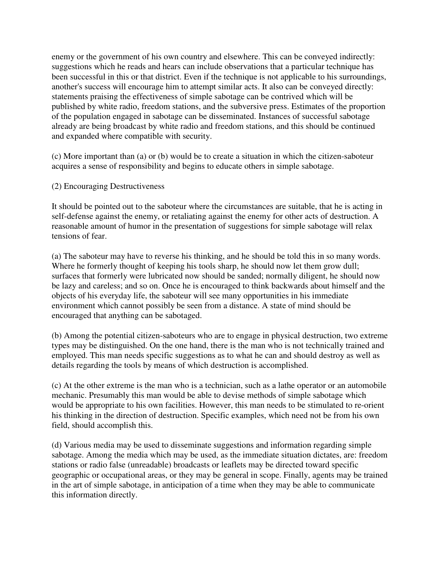enemy or the government of his own country and elsewhere. This can be conveyed indirectly: suggestions which he reads and hears can include observations that a particular technique has been successful in this or that district. Even if the technique is not applicable to his surroundings, another's success will encourage him to attempt similar acts. It also can be conveyed directly: statements praising the effectiveness of simple sabotage can be contrived which will be published by white radio, freedom stations, and the subversive press. Estimates of the proportion of the population engaged in sabotage can be disseminated. Instances of successful sabotage already are being broadcast by white radio and freedom stations, and this should be continued and expanded where compatible with security.

(c) More important than (a) or (b) would be to create a situation in which the citizen-saboteur acquires a sense of responsibility and begins to educate others in simple sabotage.

## (2) Encouraging Destructiveness

It should be pointed out to the saboteur where the circumstances are suitable, that he is acting in self-defense against the enemy, or retaliating against the enemy for other acts of destruction. A reasonable amount of humor in the presentation of suggestions for simple sabotage will relax tensions of fear.

(a) The saboteur may have to reverse his thinking, and he should be told this in so many words. Where he formerly thought of keeping his tools sharp, he should now let them grow dull; surfaces that formerly were lubricated now should be sanded; normally diligent, he should now be lazy and careless; and so on. Once he is encouraged to think backwards about himself and the objects of his everyday life, the saboteur will see many opportunities in his immediate environment which cannot possibly be seen from a distance. A state of mind should be encouraged that anything can be sabotaged.

(b) Among the potential citizen-saboteurs who are to engage in physical destruction, two extreme types may be distinguished. On the one hand, there is the man who is not technically trained and employed. This man needs specific suggestions as to what he can and should destroy as well as details regarding the tools by means of which destruction is accomplished.

(c) At the other extreme is the man who is a technician, such as a lathe operator or an automobile mechanic. Presumably this man would be able to devise methods of simple sabotage which would be appropriate to his own facilities. However, this man needs to be stimulated to re-orient his thinking in the direction of destruction. Specific examples, which need not be from his own field, should accomplish this.

(d) Various media may be used to disseminate suggestions and information regarding simple sabotage. Among the media which may be used, as the immediate situation dictates, are: freedom stations or radio false (unreadable) broadcasts or leaflets may be directed toward specific geographic or occupational areas, or they may be general in scope. Finally, agents may be trained in the art of simple sabotage, in anticipation of a time when they may be able to communicate this information directly.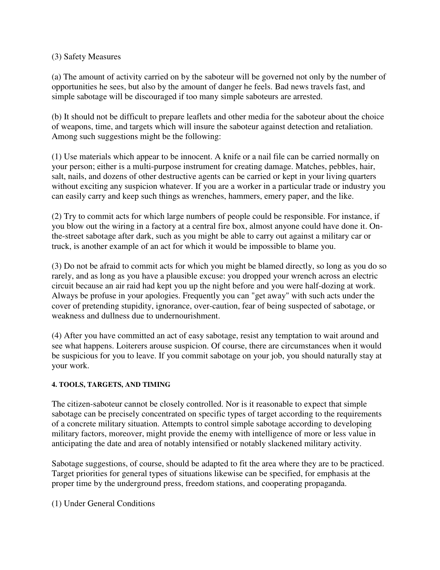## (3) Safety Measures

(a) The amount of activity carried on by the saboteur will be governed not only by the number of opportunities he sees, but also by the amount of danger he feels. Bad news travels fast, and simple sabotage will be discouraged if too many simple saboteurs are arrested.

(b) It should not be difficult to prepare leaflets and other media for the saboteur about the choice of weapons, time, and targets which will insure the saboteur against detection and retaliation. Among such suggestions might be the following:

(1) Use materials which appear to be innocent. A knife or a nail file can be carried normally on your person; either is a multi-purpose instrument for creating damage. Matches, pebbles, hair, salt, nails, and dozens of other destructive agents can be carried or kept in your living quarters without exciting any suspicion whatever. If you are a worker in a particular trade or industry you can easily carry and keep such things as wrenches, hammers, emery paper, and the like.

(2) Try to commit acts for which large numbers of people could be responsible. For instance, if you blow out the wiring in a factory at a central fire box, almost anyone could have done it. Onthe-street sabotage after dark, such as you might be able to carry out against a military car or truck, is another example of an act for which it would be impossible to blame you.

(3) Do not be afraid to commit acts for which you might be blamed directly, so long as you do so rarely, and as long as you have a plausible excuse: you dropped your wrench across an electric circuit because an air raid had kept you up the night before and you were half-dozing at work. Always be profuse in your apologies. Frequently you can "get away" with such acts under the cover of pretending stupidity, ignorance, over-caution, fear of being suspected of sabotage, or weakness and dullness due to undernourishment.

(4) After you have committed an act of easy sabotage, resist any temptation to wait around and see what happens. Loiterers arouse suspicion. Of course, there are circumstances when it would be suspicious for you to leave. If you commit sabotage on your job, you should naturally stay at your work.

# **4. TOOLS, TARGETS, AND TIMING**

The citizen-saboteur cannot be closely controlled. Nor is it reasonable to expect that simple sabotage can be precisely concentrated on specific types of target according to the requirements of a concrete military situation. Attempts to control simple sabotage according to developing military factors, moreover, might provide the enemy with intelligence of more or less value in anticipating the date and area of notably intensified or notably slackened military activity.

Sabotage suggestions, of course, should be adapted to fit the area where they are to be practiced. Target priorities for general types of situations likewise can be specified, for emphasis at the proper time by the underground press, freedom stations, and cooperating propaganda.

(1) Under General Conditions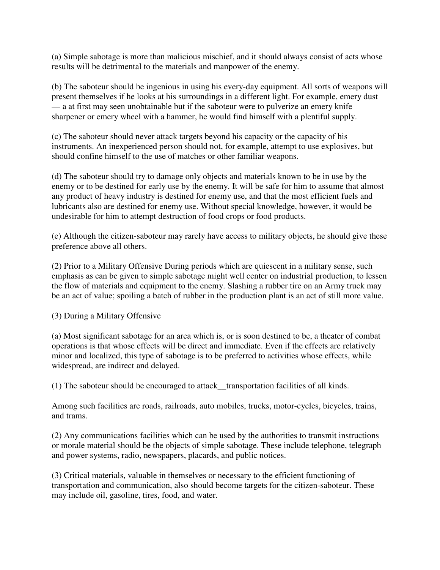(a) Simple sabotage is more than malicious mischief, and it should always consist of acts whose results will be detrimental to the materials and manpower of the enemy.

(b) The saboteur should be ingenious in using his every-day equipment. All sorts of weapons will present themselves if he looks at his surroundings in a different light. For example, emery dust — a at first may seen unobtainable but if the saboteur were to pulverize an emery knife sharpener or emery wheel with a hammer, he would find himself with a plentiful supply.

(c) The saboteur should never attack targets beyond his capacity or the capacity of his instruments. An inexperienced person should not, for example, attempt to use explosives, but should confine himself to the use of matches or other familiar weapons.

(d) The saboteur should try to damage only objects and materials known to be in use by the enemy or to be destined for early use by the enemy. It will be safe for him to assume that almost any product of heavy industry is destined for enemy use, and that the most efficient fuels and lubricants also are destined for enemy use. Without special knowledge, however, it would be undesirable for him to attempt destruction of food crops or food products.

(e) Although the citizen-saboteur may rarely have access to military objects, he should give these preference above all others.

(2) Prior to a Military Offensive During periods which are quiescent in a military sense, such emphasis as can be given to simple sabotage might well center on industrial production, to lessen the flow of materials and equipment to the enemy. Slashing a rubber tire on an Army truck may be an act of value; spoiling a batch of rubber in the production plant is an act of still more value.

#### (3) During a Military Offensive

(a) Most significant sabotage for an area which is, or is soon destined to be, a theater of combat operations is that whose effects will be direct and immediate. Even if the effects are relatively minor and localized, this type of sabotage is to be preferred to activities whose effects, while widespread, are indirect and delayed.

(1) The saboteur should be encouraged to attack\_\_transportation facilities of all kinds.

Among such facilities are roads, railroads, auto mobiles, trucks, motor-cycles, bicycles, trains, and trams.

(2) Any communications facilities which can be used by the authorities to transmit instructions or morale material should be the objects of simple sabotage. These include telephone, telegraph and power systems, radio, newspapers, placards, and public notices.

(3) Critical materials, valuable in themselves or necessary to the efficient functioning of transportation and communication, also should become targets for the citizen-saboteur. These may include oil, gasoline, tires, food, and water.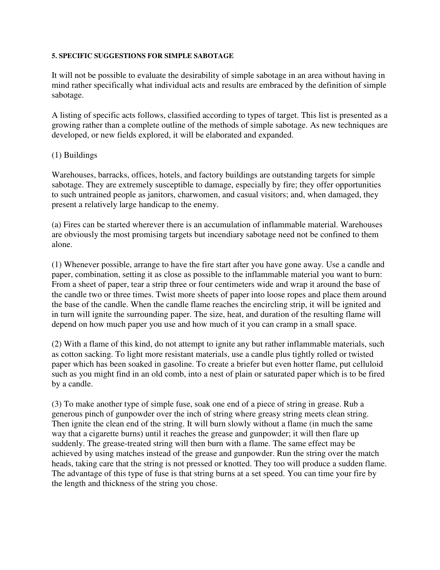#### **5. SPECIFIC SUGGESTIONS FOR SIMPLE SABOTAGE**

It will not be possible to evaluate the desirability of simple sabotage in an area without having in mind rather specifically what individual acts and results are embraced by the definition of simple sabotage.

A listing of specific acts follows, classified according to types of target. This list is presented as a growing rather than a complete outline of the methods of simple sabotage. As new techniques are developed, or new fields explored, it will be elaborated and expanded.

## (1) Buildings

Warehouses, barracks, offices, hotels, and factory buildings are outstanding targets for simple sabotage. They are extremely susceptible to damage, especially by fire; they offer opportunities to such untrained people as janitors, charwomen, and casual visitors; and, when damaged, they present a relatively large handicap to the enemy.

(a) Fires can be started wherever there is an accumulation of inflammable material. Warehouses are obviously the most promising targets but incendiary sabotage need not be confined to them alone.

(1) Whenever possible, arrange to have the fire start after you have gone away. Use a candle and paper, combination, setting it as close as possible to the inflammable material you want to burn: From a sheet of paper, tear a strip three or four centimeters wide and wrap it around the base of the candle two or three times. Twist more sheets of paper into loose ropes and place them around the base of the candle. When the candle flame reaches the encircling strip, it will be ignited and in turn will ignite the surrounding paper. The size, heat, and duration of the resulting flame will depend on how much paper you use and how much of it you can cramp in a small space.

(2) With a flame of this kind, do not attempt to ignite any but rather inflammable materials, such as cotton sacking. To light more resistant materials, use a candle plus tightly rolled or twisted paper which has been soaked in gasoline. To create a briefer but even hotter flame, put celluloid such as you might find in an old comb, into a nest of plain or saturated paper which is to be fired by a candle.

(3) To make another type of simple fuse, soak one end of a piece of string in grease. Rub a generous pinch of gunpowder over the inch of string where greasy string meets clean string. Then ignite the clean end of the string. It will burn slowly without a flame (in much the same way that a cigarette burns) until it reaches the grease and gunpowder; it will then flare up suddenly. The grease-treated string will then burn with a flame. The same effect may be achieved by using matches instead of the grease and gunpowder. Run the string over the match heads, taking care that the string is not pressed or knotted. They too will produce a sudden flame. The advantage of this type of fuse is that string burns at a set speed. You can time your fire by the length and thickness of the string you chose.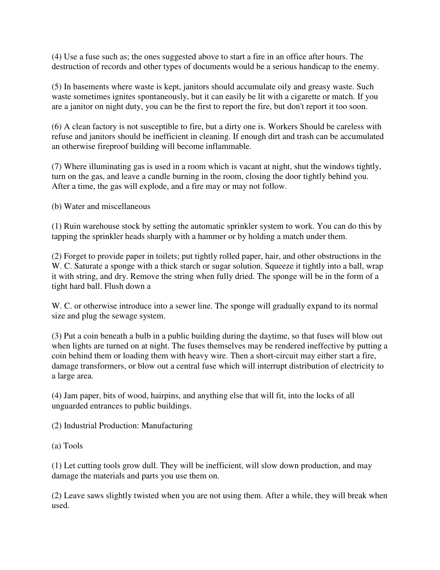(4) Use a fuse such as; the ones suggested above to start a fire in an office after hours. The destruction of records and other types of documents would be a serious handicap to the enemy.

(5) In basements where waste is kept, janitors should accumulate oily and greasy waste. Such waste sometimes ignites spontaneously, but it can easily be lit with a cigarette or match. If you are a janitor on night duty, you can be the first to report the fire, but don't report it too soon.

(6) A clean factory is not susceptible to fire, but a dirty one is. Workers Should be careless with refuse and janitors should be inefficient in cleaning. If enough dirt and trash can be accumulated an otherwise fireproof building will become inflammable.

(7) Where illuminating gas is used in a room which is vacant at night, shut the windows tightly, turn on the gas, and leave a candle burning in the room, closing the door tightly behind you. After a time, the gas will explode, and a fire may or may not follow.

(b) Water and miscellaneous

(1) Ruin warehouse stock by setting the automatic sprinkler system to work. You can do this by tapping the sprinkler heads sharply with a hammer or by holding a match under them.

(2) Forget to provide paper in toilets; put tightly rolled paper, hair, and other obstructions in the W. C. Saturate a sponge with a thick starch or sugar solution. Squeeze it tightly into a ball, wrap it with string, and dry. Remove the string when fully dried. The sponge will be in the form of a tight hard ball. Flush down a

W. C. or otherwise introduce into a sewer line. The sponge will gradually expand to its normal size and plug the sewage system.

(3) Put a coin beneath a bulb in a public building during the daytime, so that fuses will blow out when lights are turned on at night. The fuses themselves may be rendered ineffective by putting a coin behind them or loading them with heavy wire. Then a short-circuit may either start a fire, damage transformers, or blow out a central fuse which will interrupt distribution of electricity to a large area.

(4) Jam paper, bits of wood, hairpins, and anything else that will fit, into the locks of all unguarded entrances to public buildings.

(2) Industrial Production: Manufacturing

(a) Tools

(1) Let cutting tools grow dull. They will be inefficient, will slow down production, and may damage the materials and parts you use them on.

(2) Leave saws slightly twisted when you are not using them. After a while, they will break when used.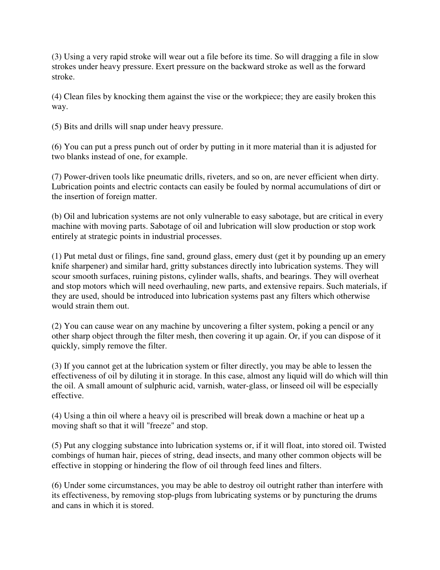(3) Using a very rapid stroke will wear out a file before its time. So will dragging a file in slow strokes under heavy pressure. Exert pressure on the backward stroke as well as the forward stroke.

(4) Clean files by knocking them against the vise or the workpiece; they are easily broken this way.

(5) Bits and drills will snap under heavy pressure.

(6) You can put a press punch out of order by putting in it more material than it is adjusted for two blanks instead of one, for example.

(7) Power-driven tools like pneumatic drills, riveters, and so on, are never efficient when dirty. Lubrication points and electric contacts can easily be fouled by normal accumulations of dirt or the insertion of foreign matter.

(b) Oil and lubrication systems are not only vulnerable to easy sabotage, but are critical in every machine with moving parts. Sabotage of oil and lubrication will slow production or stop work entirely at strategic points in industrial processes.

(1) Put metal dust or filings, fine sand, ground glass, emery dust (get it by pounding up an emery knife sharpener) and similar hard, gritty substances directly into lubrication systems. They will scour smooth surfaces, ruining pistons, cylinder walls, shafts, and bearings. They will overheat and stop motors which will need overhauling, new parts, and extensive repairs. Such materials, if they are used, should be introduced into lubrication systems past any filters which otherwise would strain them out.

(2) You can cause wear on any machine by uncovering a filter system, poking a pencil or any other sharp object through the filter mesh, then covering it up again. Or, if you can dispose of it quickly, simply remove the filter.

(3) If you cannot get at the lubrication system or filter directly, you may be able to lessen the effectiveness of oil by diluting it in storage. In this case, almost any liquid will do which will thin the oil. A small amount of sulphuric acid, varnish, water-glass, or linseed oil will be especially effective.

(4) Using a thin oil where a heavy oil is prescribed will break down a machine or heat up a moving shaft so that it will "freeze" and stop.

(5) Put any clogging substance into lubrication systems or, if it will float, into stored oil. Twisted combings of human hair, pieces of string, dead insects, and many other common objects will be effective in stopping or hindering the flow of oil through feed lines and filters.

(6) Under some circumstances, you may be able to destroy oil outright rather than interfere with its effectiveness, by removing stop-plugs from lubricating systems or by puncturing the drums and cans in which it is stored.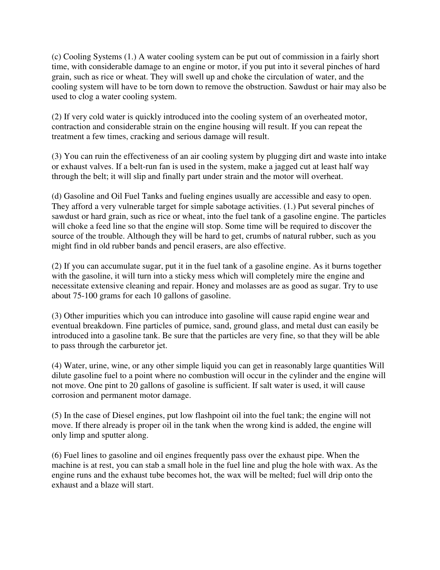(c) Cooling Systems (1.) A water cooling system can be put out of commission in a fairly short time, with considerable damage to an engine or motor, if you put into it several pinches of hard grain, such as rice or wheat. They will swell up and choke the circulation of water, and the cooling system will have to be torn down to remove the obstruction. Sawdust or hair may also be used to clog a water cooling system.

(2) If very cold water is quickly introduced into the cooling system of an overheated motor, contraction and considerable strain on the engine housing will result. If you can repeat the treatment a few times, cracking and serious damage will result.

(3) You can ruin the effectiveness of an air cooling system by plugging dirt and waste into intake or exhaust valves. If a belt-run fan is used in the system, make a jagged cut at least half way through the belt; it will slip and finally part under strain and the motor will overheat.

(d) Gasoline and Oil Fuel Tanks and fueling engines usually are accessible and easy to open. They afford a very vulnerable target for simple sabotage activities. (1.) Put several pinches of sawdust or hard grain, such as rice or wheat, into the fuel tank of a gasoline engine. The particles will choke a feed line so that the engine will stop. Some time will be required to discover the source of the trouble. Although they will be hard to get, crumbs of natural rubber, such as you might find in old rubber bands and pencil erasers, are also effective.

(2) If you can accumulate sugar, put it in the fuel tank of a gasoline engine. As it burns together with the gasoline, it will turn into a sticky mess which will completely mire the engine and necessitate extensive cleaning and repair. Honey and molasses are as good as sugar. Try to use about 75-100 grams for each 10 gallons of gasoline.

(3) Other impurities which you can introduce into gasoline will cause rapid engine wear and eventual breakdown. Fine particles of pumice, sand, ground glass, and metal dust can easily be introduced into a gasoline tank. Be sure that the particles are very fine, so that they will be able to pass through the carburetor jet.

(4) Water, urine, wine, or any other simple liquid you can get in reasonably large quantities Will dilute gasoline fuel to a point where no combustion will occur in the cylinder and the engine will not move. One pint to 20 gallons of gasoline is sufficient. If salt water is used, it will cause corrosion and permanent motor damage.

(5) In the case of Diesel engines, put low flashpoint oil into the fuel tank; the engine will not move. If there already is proper oil in the tank when the wrong kind is added, the engine will only limp and sputter along.

(6) Fuel lines to gasoline and oil engines frequently pass over the exhaust pipe. When the machine is at rest, you can stab a small hole in the fuel line and plug the hole with wax. As the engine runs and the exhaust tube becomes hot, the wax will be melted; fuel will drip onto the exhaust and a blaze will start.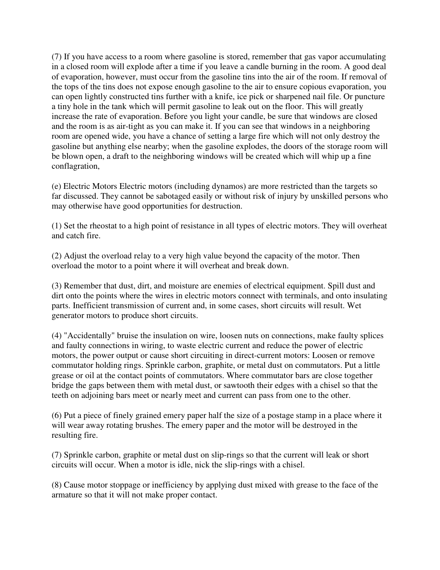(7) If you have access to a room where gasoline is stored, remember that gas vapor accumulating in a closed room will explode after a time if you leave a candle burning in the room. A good deal of evaporation, however, must occur from the gasoline tins into the air of the room. If removal of the tops of the tins does not expose enough gasoline to the air to ensure copious evaporation, you can open lightly constructed tins further with a knife, ice pick or sharpened nail file. Or puncture a tiny hole in the tank which will permit gasoline to leak out on the floor. This will greatly increase the rate of evaporation. Before you light your candle, be sure that windows are closed and the room is as air-tight as you can make it. If you can see that windows in a neighboring room are opened wide, you have a chance of setting a large fire which will not only destroy the gasoline but anything else nearby; when the gasoline explodes, the doors of the storage room will be blown open, a draft to the neighboring windows will be created which will whip up a fine conflagration,

(e) Electric Motors Electric motors (including dynamos) are more restricted than the targets so far discussed. They cannot be sabotaged easily or without risk of injury by unskilled persons who may otherwise have good opportunities for destruction.

(1) Set the rheostat to a high point of resistance in all types of electric motors. They will overheat and catch fire.

(2) Adjust the overload relay to a very high value beyond the capacity of the motor. Then overload the motor to a point where it will overheat and break down.

(3) Remember that dust, dirt, and moisture are enemies of electrical equipment. Spill dust and dirt onto the points where the wires in electric motors connect with terminals, and onto insulating parts. Inefficient transmission of current and, in some cases, short circuits will result. Wet generator motors to produce short circuits.

(4) "Accidentally" bruise the insulation on wire, loosen nuts on connections, make faulty splices and faulty connections in wiring, to waste electric current and reduce the power of electric motors, the power output or cause short circuiting in direct-current motors: Loosen or remove commutator holding rings. Sprinkle carbon, graphite, or metal dust on commutators. Put a little grease or oil at the contact points of commutators. Where commutator bars are close together bridge the gaps between them with metal dust, or sawtooth their edges with a chisel so that the teeth on adjoining bars meet or nearly meet and current can pass from one to the other.

(6) Put a piece of finely grained emery paper half the size of a postage stamp in a place where it will wear away rotating brushes. The emery paper and the motor will be destroyed in the resulting fire.

(7) Sprinkle carbon, graphite or metal dust on slip-rings so that the current will leak or short circuits will occur. When a motor is idle, nick the slip-rings with a chisel.

(8) Cause motor stoppage or inefficiency by applying dust mixed with grease to the face of the armature so that it will not make proper contact.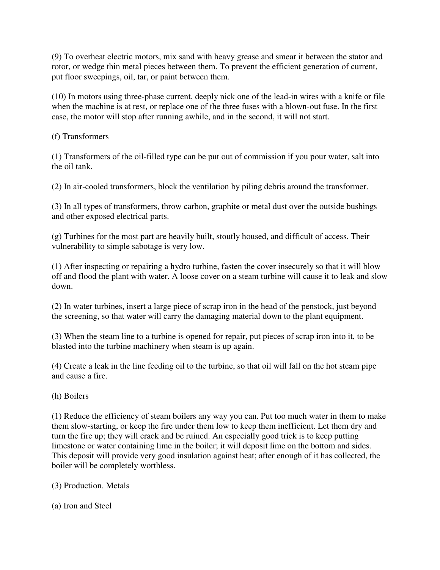(9) To overheat electric motors, mix sand with heavy grease and smear it between the stator and rotor, or wedge thin metal pieces between them. To prevent the efficient generation of current, put floor sweepings, oil, tar, or paint between them.

(10) In motors using three-phase current, deeply nick one of the lead-in wires with a knife or file when the machine is at rest, or replace one of the three fuses with a blown-out fuse. In the first case, the motor will stop after running awhile, and in the second, it will not start.

(f) Transformers

(1) Transformers of the oil-filled type can be put out of commission if you pour water, salt into the oil tank.

(2) In air-cooled transformers, block the ventilation by piling debris around the transformer.

(3) In all types of transformers, throw carbon, graphite or metal dust over the outside bushings and other exposed electrical parts.

(g) Turbines for the most part are heavily built, stoutly housed, and difficult of access. Their vulnerability to simple sabotage is very low.

(1) After inspecting or repairing a hydro turbine, fasten the cover insecurely so that it will blow off and flood the plant with water. A loose cover on a steam turbine will cause it to leak and slow down.

(2) In water turbines, insert a large piece of scrap iron in the head of the penstock, just beyond the screening, so that water will carry the damaging material down to the plant equipment.

(3) When the steam line to a turbine is opened for repair, put pieces of scrap iron into it, to be blasted into the turbine machinery when steam is up again.

(4) Create a leak in the line feeding oil to the turbine, so that oil will fall on the hot steam pipe and cause a fire.

(h) Boilers

(1) Reduce the efficiency of steam boilers any way you can. Put too much water in them to make them slow-starting, or keep the fire under them low to keep them inefficient. Let them dry and turn the fire up; they will crack and be ruined. An especially good trick is to keep putting limestone or water containing lime in the boiler; it will deposit lime on the bottom and sides. This deposit will provide very good insulation against heat; after enough of it has collected, the boiler will be completely worthless.

- (3) Production. Metals
- (a) Iron and Steel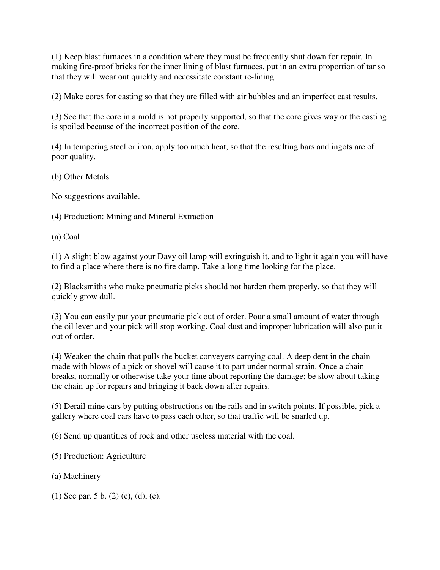(1) Keep blast furnaces in a condition where they must be frequently shut down for repair. In making fire-proof bricks for the inner lining of blast furnaces, put in an extra proportion of tar so that they will wear out quickly and necessitate constant re-lining.

(2) Make cores for casting so that they are filled with air bubbles and an imperfect cast results.

(3) See that the core in a mold is not properly supported, so that the core gives way or the casting is spoiled because of the incorrect position of the core.

(4) In tempering steel or iron, apply too much heat, so that the resulting bars and ingots are of poor quality.

(b) Other Metals

No suggestions available.

(4) Production: Mining and Mineral Extraction

(a) Coal

(1) A slight blow against your Davy oil lamp will extinguish it, and to light it again you will have to find a place where there is no fire damp. Take a long time looking for the place.

(2) Blacksmiths who make pneumatic picks should not harden them properly, so that they will quickly grow dull.

(3) You can easily put your pneumatic pick out of order. Pour a small amount of water through the oil lever and your pick will stop working. Coal dust and improper lubrication will also put it out of order.

(4) Weaken the chain that pulls the bucket conveyers carrying coal. A deep dent in the chain made with blows of a pick or shovel will cause it to part under normal strain. Once a chain breaks, normally or otherwise take your time about reporting the damage; be slow about taking the chain up for repairs and bringing it back down after repairs.

(5) Derail mine cars by putting obstructions on the rails and in switch points. If possible, pick a gallery where coal cars have to pass each other, so that traffic will be snarled up.

(6) Send up quantities of rock and other useless material with the coal.

(5) Production: Agriculture

(a) Machinery

(1) See par. 5 b. (2) (c), (d), (e).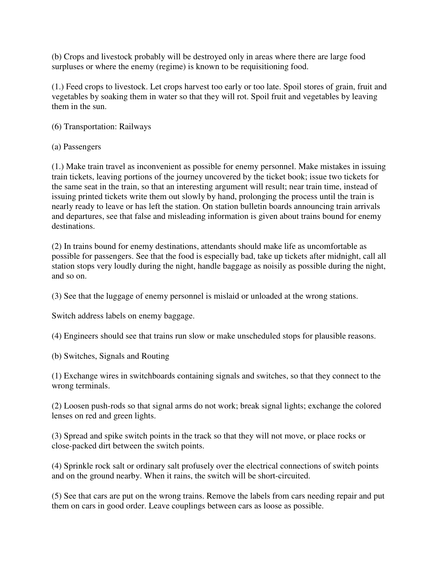(b) Crops and livestock probably will be destroyed only in areas where there are large food surpluses or where the enemy (regime) is known to be requisitioning food.

(1.) Feed crops to livestock. Let crops harvest too early or too late. Spoil stores of grain, fruit and vegetables by soaking them in water so that they will rot. Spoil fruit and vegetables by leaving them in the sun.

# (6) Transportation: Railways

(a) Passengers

(1.) Make train travel as inconvenient as possible for enemy personnel. Make mistakes in issuing train tickets, leaving portions of the journey uncovered by the ticket book; issue two tickets for the same seat in the train, so that an interesting argument will result; near train time, instead of issuing printed tickets write them out slowly by hand, prolonging the process until the train is nearly ready to leave or has left the station. On station bulletin boards announcing train arrivals and departures, see that false and misleading information is given about trains bound for enemy destinations.

(2) In trains bound for enemy destinations, attendants should make life as uncomfortable as possible for passengers. See that the food is especially bad, take up tickets after midnight, call all station stops very loudly during the night, handle baggage as noisily as possible during the night, and so on.

(3) See that the luggage of enemy personnel is mislaid or unloaded at the wrong stations.

Switch address labels on enemy baggage.

(4) Engineers should see that trains run slow or make unscheduled stops for plausible reasons.

(b) Switches, Signals and Routing

(1) Exchange wires in switchboards containing signals and switches, so that they connect to the wrong terminals.

(2) Loosen push-rods so that signal arms do not work; break signal lights; exchange the colored lenses on red and green lights.

(3) Spread and spike switch points in the track so that they will not move, or place rocks or close-packed dirt between the switch points.

(4) Sprinkle rock salt or ordinary salt profusely over the electrical connections of switch points and on the ground nearby. When it rains, the switch will be short-circuited.

(5) See that cars are put on the wrong trains. Remove the labels from cars needing repair and put them on cars in good order. Leave couplings between cars as loose as possible.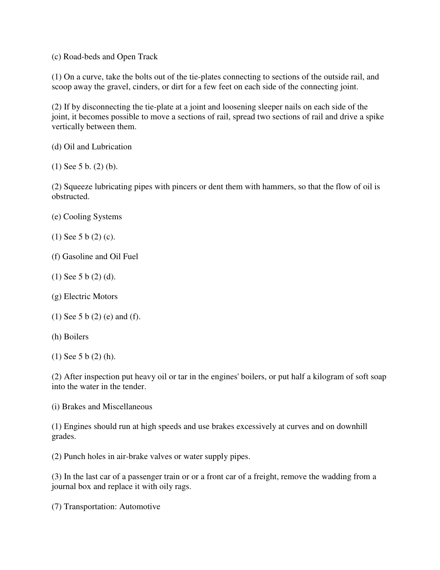(c) Road-beds and Open Track

(1) On a curve, take the bolts out of the tie-plates connecting to sections of the outside rail, and scoop away the gravel, cinders, or dirt for a few feet on each side of the connecting joint.

(2) If by disconnecting the tie-plate at a joint and loosening sleeper nails on each side of the joint, it becomes possible to move a sections of rail, spread two sections of rail and drive a spike vertically between them.

(d) Oil and Lubrication

(1) See 5 b. (2) (b).

(2) Squeeze lubricating pipes with pincers or dent them with hammers, so that the flow of oil is obstructed.

- (e) Cooling Systems
- (1) See 5 b (2) (c).
- (f) Gasoline and Oil Fuel
- (1) See 5 b (2) (d).
- (g) Electric Motors
- (1) See 5 b (2) (e) and (f).
- (h) Boilers
- (1) See 5 b (2) (h).

(2) After inspection put heavy oil or tar in the engines' boilers, or put half a kilogram of soft soap into the water in the tender.

(i) Brakes and Miscellaneous

(1) Engines should run at high speeds and use brakes excessively at curves and on downhill grades.

(2) Punch holes in air-brake valves or water supply pipes.

(3) In the last car of a passenger train or or a front car of a freight, remove the wadding from a journal box and replace it with oily rags.

(7) Transportation: Automotive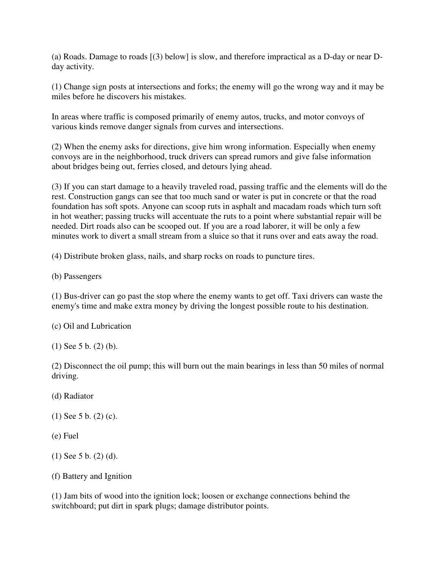(a) Roads. Damage to roads [(3) below] is slow, and therefore impractical as a D-day or near Dday activity.

(1) Change sign posts at intersections and forks; the enemy will go the wrong way and it may be miles before he discovers his mistakes.

In areas where traffic is composed primarily of enemy autos, trucks, and motor convoys of various kinds remove danger signals from curves and intersections.

(2) When the enemy asks for directions, give him wrong information. Especially when enemy convoys are in the neighborhood, truck drivers can spread rumors and give false information about bridges being out, ferries closed, and detours lying ahead.

(3) If you can start damage to a heavily traveled road, passing traffic and the elements will do the rest. Construction gangs can see that too much sand or water is put in concrete or that the road foundation has soft spots. Anyone can scoop ruts in asphalt and macadam roads which turn soft in hot weather; passing trucks will accentuate the ruts to a point where substantial repair will be needed. Dirt roads also can be scooped out. If you are a road laborer, it will be only a few minutes work to divert a small stream from a sluice so that it runs over and eats away the road.

(4) Distribute broken glass, nails, and sharp rocks on roads to puncture tires.

(b) Passengers

(1) Bus-driver can go past the stop where the enemy wants to get off. Taxi drivers can waste the enemy's time and make extra money by driving the longest possible route to his destination.

(c) Oil and Lubrication

(1) See 5 b. (2) (b).

(2) Disconnect the oil pump; this will burn out the main bearings in less than 50 miles of normal driving.

(d) Radiator

(1) See 5 b. (2) (c).

(e) Fuel

(1) See 5 b. (2) (d).

(f) Battery and Ignition

(1) Jam bits of wood into the ignition lock; loosen or exchange connections behind the switchboard; put dirt in spark plugs; damage distributor points.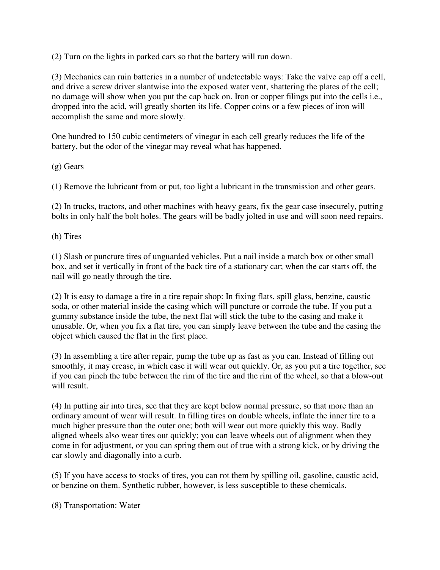(2) Turn on the lights in parked cars so that the battery will run down.

(3) Mechanics can ruin batteries in a number of undetectable ways: Take the valve cap off a cell, and drive a screw driver slantwise into the exposed water vent, shattering the plates of the cell; no damage will show when you put the cap back on. Iron or copper filings put into the cells i.e., dropped into the acid, will greatly shorten its life. Copper coins or a few pieces of iron will accomplish the same and more slowly.

One hundred to 150 cubic centimeters of vinegar in each cell greatly reduces the life of the battery, but the odor of the vinegar may reveal what has happened.

(g) Gears

(1) Remove the lubricant from or put, too light a lubricant in the transmission and other gears.

(2) In trucks, tractors, and other machines with heavy gears, fix the gear case insecurely, putting bolts in only half the bolt holes. The gears will be badly jolted in use and will soon need repairs.

(h) Tires

(1) Slash or puncture tires of unguarded vehicles. Put a nail inside a match box or other small box, and set it vertically in front of the back tire of a stationary car; when the car starts off, the nail will go neatly through the tire.

(2) It is easy to damage a tire in a tire repair shop: In fixing flats, spill glass, benzine, caustic soda, or other material inside the casing which will puncture or corrode the tube. If you put a gummy substance inside the tube, the next flat will stick the tube to the casing and make it unusable. Or, when you fix a flat tire, you can simply leave between the tube and the casing the object which caused the flat in the first place.

(3) In assembling a tire after repair, pump the tube up as fast as you can. Instead of filling out smoothly, it may crease, in which case it will wear out quickly. Or, as you put a tire together, see if you can pinch the tube between the rim of the tire and the rim of the wheel, so that a blow-out will result.

(4) In putting air into tires, see that they are kept below normal pressure, so that more than an ordinary amount of wear will result. In filling tires on double wheels, inflate the inner tire to a much higher pressure than the outer one; both will wear out more quickly this way. Badly aligned wheels also wear tires out quickly; you can leave wheels out of alignment when they come in for adjustment, or you can spring them out of true with a strong kick, or by driving the car slowly and diagonally into a curb.

(5) If you have access to stocks of tires, you can rot them by spilling oil, gasoline, caustic acid, or benzine on them. Synthetic rubber, however, is less susceptible to these chemicals.

(8) Transportation: Water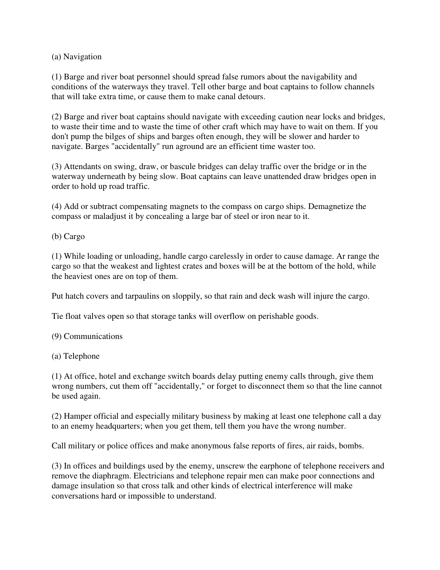(a) Navigation

(1) Barge and river boat personnel should spread false rumors about the navigability and conditions of the waterways they travel. Tell other barge and boat captains to follow channels that will take extra time, or cause them to make canal detours.

(2) Barge and river boat captains should navigate with exceeding caution near locks and bridges, to waste their time and to waste the time of other craft which may have to wait on them. If you don't pump the bilges of ships and barges often enough, they will be slower and harder to navigate. Barges "accidentally" run aground are an efficient time waster too.

(3) Attendants on swing, draw, or bascule bridges can delay traffic over the bridge or in the waterway underneath by being slow. Boat captains can leave unattended draw bridges open in order to hold up road traffic.

(4) Add or subtract compensating magnets to the compass on cargo ships. Demagnetize the compass or maladjust it by concealing a large bar of steel or iron near to it.

(b) Cargo

(1) While loading or unloading, handle cargo carelessly in order to cause damage. Ar range the cargo so that the weakest and lightest crates and boxes will be at the bottom of the hold, while the heaviest ones are on top of them.

Put hatch covers and tarpaulins on sloppily, so that rain and deck wash will injure the cargo.

Tie float valves open so that storage tanks will overflow on perishable goods.

(9) Communications

(a) Telephone

(1) At office, hotel and exchange switch boards delay putting enemy calls through, give them wrong numbers, cut them off "accidentally," or forget to disconnect them so that the line cannot be used again.

(2) Hamper official and especially military business by making at least one telephone call a day to an enemy headquarters; when you get them, tell them you have the wrong number.

Call military or police offices and make anonymous false reports of fires, air raids, bombs.

(3) In offices and buildings used by the enemy, unscrew the earphone of telephone receivers and remove the diaphragm. Electricians and telephone repair men can make poor connections and damage insulation so that cross talk and other kinds of electrical interference will make conversations hard or impossible to understand.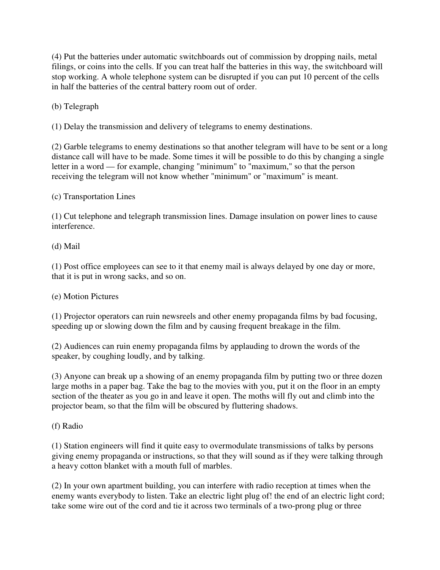(4) Put the batteries under automatic switchboards out of commission by dropping nails, metal filings, or coins into the cells. If you can treat half the batteries in this way, the switchboard will stop working. A whole telephone system can be disrupted if you can put 10 percent of the cells in half the batteries of the central battery room out of order.

(b) Telegraph

(1) Delay the transmission and delivery of telegrams to enemy destinations.

(2) Garble telegrams to enemy destinations so that another telegram will have to be sent or a long distance call will have to be made. Some times it will be possible to do this by changing a single letter in a word — for example, changing "minimum" to "maximum," so that the person receiving the telegram will not know whether "minimum" or "maximum" is meant.

(c) Transportation Lines

(1) Cut telephone and telegraph transmission lines. Damage insulation on power lines to cause interference.

(d) Mail

(1) Post office employees can see to it that enemy mail is always delayed by one day or more, that it is put in wrong sacks, and so on.

# (e) Motion Pictures

(1) Projector operators can ruin newsreels and other enemy propaganda films by bad focusing, speeding up or slowing down the film and by causing frequent breakage in the film.

(2) Audiences can ruin enemy propaganda films by applauding to drown the words of the speaker, by coughing loudly, and by talking.

(3) Anyone can break up a showing of an enemy propaganda film by putting two or three dozen large moths in a paper bag. Take the bag to the movies with you, put it on the floor in an empty section of the theater as you go in and leave it open. The moths will fly out and climb into the projector beam, so that the film will be obscured by fluttering shadows.

# (f) Radio

(1) Station engineers will find it quite easy to overmodulate transmissions of talks by persons giving enemy propaganda or instructions, so that they will sound as if they were talking through a heavy cotton blanket with a mouth full of marbles.

(2) In your own apartment building, you can interfere with radio reception at times when the enemy wants everybody to listen. Take an electric light plug of! the end of an electric light cord; take some wire out of the cord and tie it across two terminals of a two-prong plug or three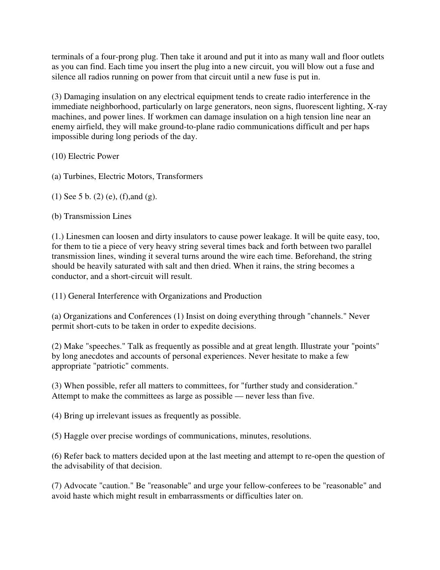terminals of a four-prong plug. Then take it around and put it into as many wall and floor outlets as you can find. Each time you insert the plug into a new circuit, you will blow out a fuse and silence all radios running on power from that circuit until a new fuse is put in.

(3) Damaging insulation on any electrical equipment tends to create radio interference in the immediate neighborhood, particularly on large generators, neon signs, fluorescent lighting, X-ray machines, and power lines. If workmen can damage insulation on a high tension line near an enemy airfield, they will make ground-to-plane radio communications difficult and per haps impossible during long periods of the day.

(10) Electric Power

(a) Turbines, Electric Motors, Transformers

(1) See 5 b. (2) (e), (f),and (g).

(b) Transmission Lines

(1.) Linesmen can loosen and dirty insulators to cause power leakage. It will be quite easy, too, for them to tie a piece of very heavy string several times back and forth between two parallel transmission lines, winding it several turns around the wire each time. Beforehand, the string should be heavily saturated with salt and then dried. When it rains, the string becomes a conductor, and a short-circuit will result.

(11) General Interference with Organizations and Production

(a) Organizations and Conferences (1) Insist on doing everything through "channels." Never permit short-cuts to be taken in order to expedite decisions.

(2) Make "speeches." Talk as frequently as possible and at great length. Illustrate your "points" by long anecdotes and accounts of personal experiences. Never hesitate to make a few appropriate "patriotic" comments.

(3) When possible, refer all matters to committees, for "further study and consideration." Attempt to make the committees as large as possible — never less than five.

(4) Bring up irrelevant issues as frequently as possible.

(5) Haggle over precise wordings of communications, minutes, resolutions.

(6) Refer back to matters decided upon at the last meeting and attempt to re-open the question of the advisability of that decision.

(7) Advocate "caution." Be "reasonable" and urge your fellow-conferees to be "reasonable" and avoid haste which might result in embarrassments or difficulties later on.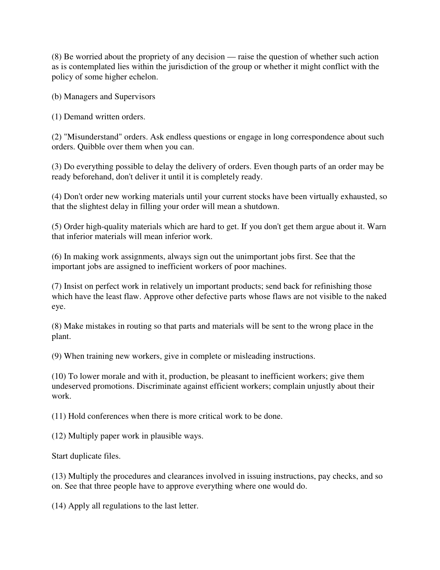(8) Be worried about the propriety of any decision — raise the question of whether such action as is contemplated lies within the jurisdiction of the group or whether it might conflict with the policy of some higher echelon.

(b) Managers and Supervisors

(1) Demand written orders.

(2) "Misunderstand" orders. Ask endless questions or engage in long correspondence about such orders. Quibble over them when you can.

(3) Do everything possible to delay the delivery of orders. Even though parts of an order may be ready beforehand, don't deliver it until it is completely ready.

(4) Don't order new working materials until your current stocks have been virtually exhausted, so that the slightest delay in filling your order will mean a shutdown.

(5) Order high-quality materials which are hard to get. If you don't get them argue about it. Warn that inferior materials will mean inferior work.

(6) In making work assignments, always sign out the unimportant jobs first. See that the important jobs are assigned to inefficient workers of poor machines.

(7) Insist on perfect work in relatively un important products; send back for refinishing those which have the least flaw. Approve other defective parts whose flaws are not visible to the naked eye.

(8) Make mistakes in routing so that parts and materials will be sent to the wrong place in the plant.

(9) When training new workers, give in complete or misleading instructions.

(10) To lower morale and with it, production, be pleasant to inefficient workers; give them undeserved promotions. Discriminate against efficient workers; complain unjustly about their work.

(11) Hold conferences when there is more critical work to be done.

(12) Multiply paper work in plausible ways.

Start duplicate files.

(13) Multiply the procedures and clearances involved in issuing instructions, pay checks, and so on. See that three people have to approve everything where one would do.

(14) Apply all regulations to the last letter.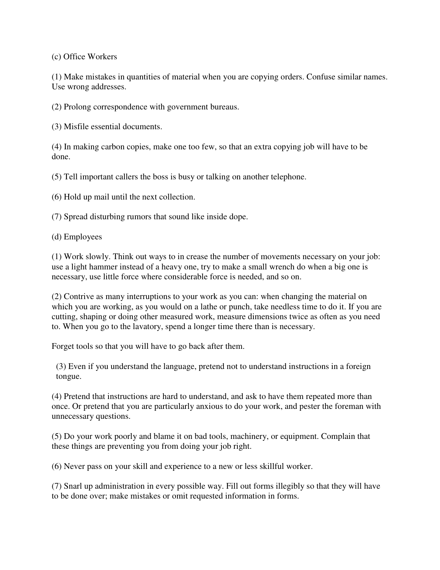(c) Office Workers

(1) Make mistakes in quantities of material when you are copying orders. Confuse similar names. Use wrong addresses.

(2) Prolong correspondence with government bureaus.

(3) Misfile essential documents.

(4) In making carbon copies, make one too few, so that an extra copying job will have to be done.

(5) Tell important callers the boss is busy or talking on another telephone.

(6) Hold up mail until the next collection.

(7) Spread disturbing rumors that sound like inside dope.

(d) Employees

(1) Work slowly. Think out ways to in crease the number of movements necessary on your job: use a light hammer instead of a heavy one, try to make a small wrench do when a big one is necessary, use little force where considerable force is needed, and so on.

(2) Contrive as many interruptions to your work as you can: when changing the material on which you are working, as you would on a lathe or punch, take needless time to do it. If you are cutting, shaping or doing other measured work, measure dimensions twice as often as you need to. When you go to the lavatory, spend a longer time there than is necessary.

Forget tools so that you will have to go back after them.

(3) Even if you understand the language, pretend not to understand instructions in a foreign tongue.

(4) Pretend that instructions are hard to understand, and ask to have them repeated more than once. Or pretend that you are particularly anxious to do your work, and pester the foreman with unnecessary questions.

(5) Do your work poorly and blame it on bad tools, machinery, or equipment. Complain that these things are preventing you from doing your job right.

(6) Never pass on your skill and experience to a new or less skillful worker.

(7) Snarl up administration in every possible way. Fill out forms illegibly so that they will have to be done over; make mistakes or omit requested information in forms.